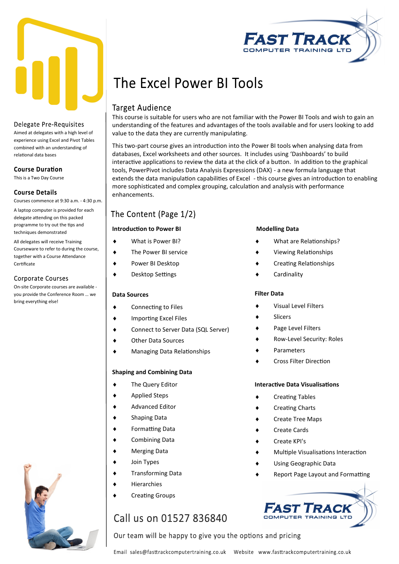

### Delegate Pre-Requisites

Aimed at delegates with a high level of experience using Excel and Pivot Tables combined with an understanding of relational data bases

### **Course Duration**

This is a Two Day Course

### **Course Details**

Courses commence at 9:30 a.m. - 4:30 p.m.

A laptop computer is provided for each delegate attending on this packed programme to try out the tips and techniques demonstrated

All delegates will receive Training Courseware to refer to during the course, together with a Course Attendance Certificate

### **Corporate Courses**

On-site Corporate courses are available you provide the Conference Room … we bring everything else!

# The Excel Power BI Tools

### **Target Audience**

This course is suitable for users who are not familiar with the Power BI Tools and wish to gain an understanding of the features and advantages of the tools available and for users looking to add value to the data they are currently manipulating.

This two-part course gives an introduction into the Power BI tools when analysing data from databases, Excel worksheets and other sources. It includes using 'Dashboards' to build interactive applications to review the data at the click of a button. In addition to the graphical tools, PowerPivot includes Data Analysis Expressions (DAX) - a new formula language that extends the data manipulation capabilities of Excel - this course gives an introduction to enabling more sophisticated and complex grouping, calculation and analysis with performance enhancements.

## The Content (Page 1/2)

### **Introduction to Power BI**

- What is Power BI?
- The Power BI service
- Power BI Desktop
- Desktop Settings

### **Data Sources**

- Connecting to Files
- Importing Excel Files
- Connect to Server Data (SQL Server)
- Other Data Sources
- Managing Data Relationships

### **Shaping and Combining Data**

- The Query Editor
- Applied Steps
- Advanced Editor
- Shaping Data
- Formatting Data
- Combining Data
- Merging Data
- Join Types
- Transforming Data
- Hierarchies
- Creating Groups

# Call us on 01527 836840

Our team will be happy to give you the options and pricing

### **Modelling Data**

What are Relationships?

**FAST TRACK** PUTER TRAINING LTD

- Viewing Relationships
- Creating Relationships
- Cardinality

### **Filter Data**

- Visual Level Filters
- Slicers
- Page Level Filters
- Row-Level Security: Roles
- Parameters
- Cross Filter Direction

### **Interactive Data Visualisations**

- Creating Tables
- Creating Charts
- Create Tree Maps
- Create Cards
- Create KPI's
- Multiple Visualisations Interaction
- Using Geographic Data
- Report Page Layout and Formatting